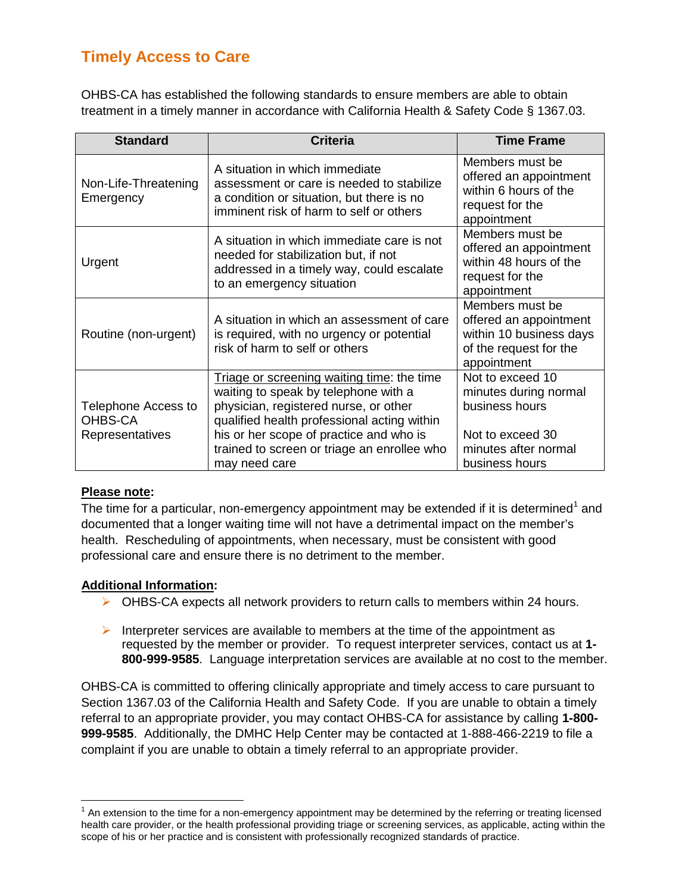## **Timely Access to Care**

OHBS-CA has established the following standards to ensure members are able to obtain treatment in a timely manner in accordance with California Health & Safety Code § 1367.03.

| <b>Standard</b>                                   | <b>Criteria</b>                                                                                                                                                                                                                                                                       | <b>Time Frame</b>                                                                                                         |
|---------------------------------------------------|---------------------------------------------------------------------------------------------------------------------------------------------------------------------------------------------------------------------------------------------------------------------------------------|---------------------------------------------------------------------------------------------------------------------------|
| Non-Life-Threatening<br>Emergency                 | A situation in which immediate<br>assessment or care is needed to stabilize<br>a condition or situation, but there is no<br>imminent risk of harm to self or others                                                                                                                   | Members must be<br>offered an appointment<br>within 6 hours of the<br>request for the<br>appointment                      |
| Urgent                                            | A situation in which immediate care is not<br>needed for stabilization but, if not<br>addressed in a timely way, could escalate<br>to an emergency situation                                                                                                                          | Members must be<br>offered an appointment<br>within 48 hours of the<br>request for the<br>appointment                     |
| Routine (non-urgent)                              | A situation in which an assessment of care<br>is required, with no urgency or potential<br>risk of harm to self or others                                                                                                                                                             | Members must be<br>offered an appointment<br>within 10 business days<br>of the request for the<br>appointment             |
| Telephone Access to<br>OHBS-CA<br>Representatives | Triage or screening waiting time: the time<br>waiting to speak by telephone with a<br>physician, registered nurse, or other<br>qualified health professional acting within<br>his or her scope of practice and who is<br>trained to screen or triage an enrollee who<br>may need care | Not to exceed 10<br>minutes during normal<br>business hours<br>Not to exceed 30<br>minutes after normal<br>business hours |

#### **Please note:**

The time for a particular, non-emergency appointment may be extended if it is determined<sup>[1](#page-0-0)</sup> and documented that a longer waiting time will not have a detrimental impact on the member's health. Rescheduling of appointments, when necessary, must be consistent with good professional care and ensure there is no detriment to the member.

#### **Additional Information:**

- $\triangleright$  OHBS-CA expects all network providers to return calls to members within 24 hours.
- Interpreter services are available to members at the time of the appointment as requested by the member or provider. To request interpreter services, contact us at **1- 800-999-9585**. Language interpretation services are available at no cost to the member.

OHBS-CA is committed to offering clinically appropriate and timely access to care pursuant to Section 1367.03 of the California Health and Safety Code. If you are unable to obtain a timely referral to an appropriate provider, you may contact OHBS-CA for assistance by calling **1-800- 999-9585**. Additionally, the DMHC Help Center may be contacted at 1-888-466-2219 to file a complaint if you are unable to obtain a timely referral to an appropriate provider.

<span id="page-0-0"></span> $<sup>1</sup>$  An extension to the time for a non-emergency appointment may be determined by the referring or treating licensed</sup> health care provider, or the health professional providing triage or screening services, as applicable, acting within the scope of his or her practice and is consistent with professionally recognized standards of practice.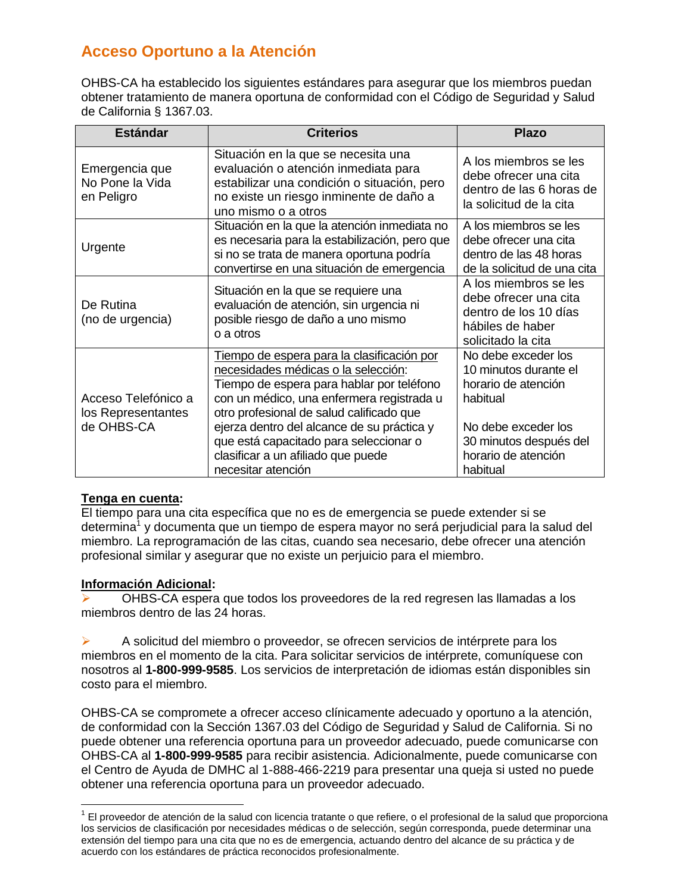# **Acceso Oportuno a la Atención**

OHBS-CA ha establecido los siguientes estándares para asegurar que los miembros puedan obtener tratamiento de manera oportuna de conformidad con el Código de Seguridad y Salud de California § 1367.03.

| <b>Estándar</b>                                         | <b>Criterios</b>                                                                                                                                                                                                                                                                                                                                                            | <b>Plazo</b>                                                                                                                                                        |
|---------------------------------------------------------|-----------------------------------------------------------------------------------------------------------------------------------------------------------------------------------------------------------------------------------------------------------------------------------------------------------------------------------------------------------------------------|---------------------------------------------------------------------------------------------------------------------------------------------------------------------|
| Emergencia que<br>No Pone la Vida<br>en Peligro         | Situación en la que se necesita una<br>evaluación o atención inmediata para<br>estabilizar una condición o situación, pero<br>no existe un riesgo inminente de daño a<br>uno mismo o a otros                                                                                                                                                                                | A los miembros se les<br>debe ofrecer una cita<br>dentro de las 6 horas de<br>la solicitud de la cita                                                               |
| Urgente                                                 | Situación en la que la atención inmediata no<br>es necesaria para la estabilización, pero que<br>si no se trata de manera oportuna podría<br>convertirse en una situación de emergencia                                                                                                                                                                                     | A los miembros se les<br>debe ofrecer una cita<br>dentro de las 48 horas<br>de la solicitud de una cita                                                             |
| De Rutina<br>(no de urgencia)                           | Situación en la que se requiere una<br>evaluación de atención, sin urgencia ni<br>posible riesgo de daño a uno mismo<br>o a otros                                                                                                                                                                                                                                           | A los miembros se les<br>debe ofrecer una cita<br>dentro de los 10 días<br>hábiles de haber<br>solicitado la cita                                                   |
| Acceso Telefónico a<br>los Representantes<br>de OHBS-CA | Tiempo de espera para la clasificación por<br>necesidades médicas o la selección:<br>Tiempo de espera para hablar por teléfono<br>con un médico, una enfermera registrada u<br>otro profesional de salud calificado que<br>ejerza dentro del alcance de su práctica y<br>que está capacitado para seleccionar o<br>clasificar a un afiliado que puede<br>necesitar atención | No debe exceder los<br>10 minutos durante el<br>horario de atención<br>habitual<br>No debe exceder los<br>30 minutos después del<br>horario de atención<br>habitual |

#### **Tenga en cuenta:**

El tiempo para una cita específica que no es de emergencia se puede extender si se determina<sup>1</sup> y documenta que un tiempo de espera mayor no será perjudicial para la salud del miembro. La reprogramación de las citas, cuando sea necesario, debe ofrecer una atención profesional similar y asegurar que no existe un perjuicio para el miembro.

#### **Información Adicional:**

 $\overline{a}$ 

 OHBS-CA espera que todos los proveedores de la red regresen las llamadas a los miembros dentro de las 24 horas.

 $\triangleright$  A solicitud del miembro o proveedor, se ofrecen servicios de intérprete para los miembros en el momento de la cita. Para solicitar servicios de intérprete, comuníquese con nosotros al **1-800-999-9585**. Los servicios de interpretación de idiomas están disponibles sin costo para el miembro.

OHBS-CA se compromete a ofrecer acceso clínicamente adecuado y oportuno a la atención, de conformidad con la Sección 1367.03 del Código de Seguridad y Salud de California. Si no puede obtener una referencia oportuna para un proveedor adecuado, puede comunicarse con OHBS-CA al **1-800-999-9585** para recibir asistencia. Adicionalmente, puede comunicarse con el Centro de Ayuda de DMHC al 1-888-466-2219 para presentar una queja si usted no puede obtener una referencia oportuna para un proveedor adecuado.

<sup>&</sup>lt;sup>1</sup> El proveedor de atención de la salud con licencia tratante o que refiere, o el profesional de la salud que proporciona los servicios de clasificación por necesidades médicas o de selección, según corresponda, puede determinar una extensión del tiempo para una cita que no es de emergencia, actuando dentro del alcance de su práctica y de acuerdo con los estándares de práctica reconocidos profesionalmente.